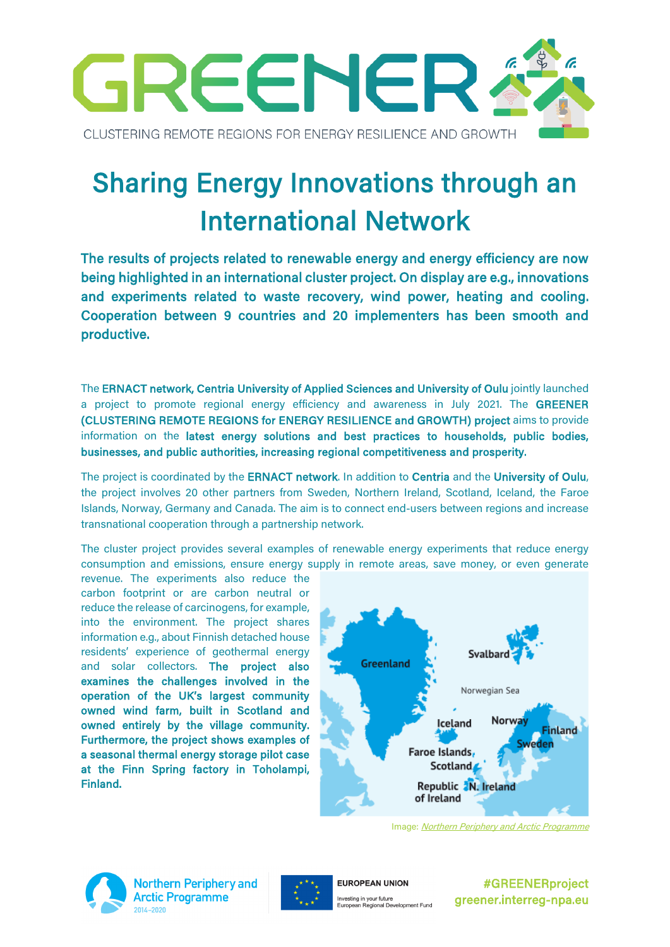

# Sharing Energy Innovations through an International Network

The results of projects related to renewable energy and energy efficiency are now being highlighted in an international cluster project. On display are e.g., innovations and experiments related to waste recovery, wind power, heating and cooling. Cooperation between 9 countries and 20 implementers has been smooth and productive.

The ERNACT network, Centria University of Applied Sciences and University of Oulu jointly launched a project to promote regional energy efficiency and awareness in July 2021. The GREENER (CLUSTERING REMOTE REGIONS for ENERGY RESILIENCE and GROWTH) project aims to provide information on the latest energy solutions and best practices to households, public bodies, businesses, and public authorities, increasing regional competitiveness and prosperity.

The project is coordinated by the **ERNACT network**. In addition to **Centria** and the **University of Oulu**, the project involves 20 other partners from Sweden, Northern Ireland, Scotland, Iceland, the Faroe Islands, Norway, Germany and Canada. The aim is to connect end-users between regions and increase transnational cooperation through a partnership network.

The cluster project provides several examples of renewable energy experiments that reduce energy consumption and emissions, ensure energy supply in remote areas, save money, or even generate

revenue. The experiments also reduce the carbon footprint or are carbon neutral or reduce the release of carcinogens, for example, into the environment. The project shares information e.g., about Finnish detached house residents' experience of geothermal energy and solar collectors. The project also examines the challenges involved in the operation of the UK's largest community owned wind farm, built in Scotland and owned entirely by the village community. Furthermore, the project shows examples of a seasonal thermal energy storage pilot case at the Finn Spring factory in Toholampi, Finland.



Image: [Northern Periphery and Arctic Programme](http://www.interreg-npa.eu/)



**Northern Periphery and Arctic Programme** 2014-2020



**EUROPEAN UNION** Investing in your future<br>European Regional Development Fund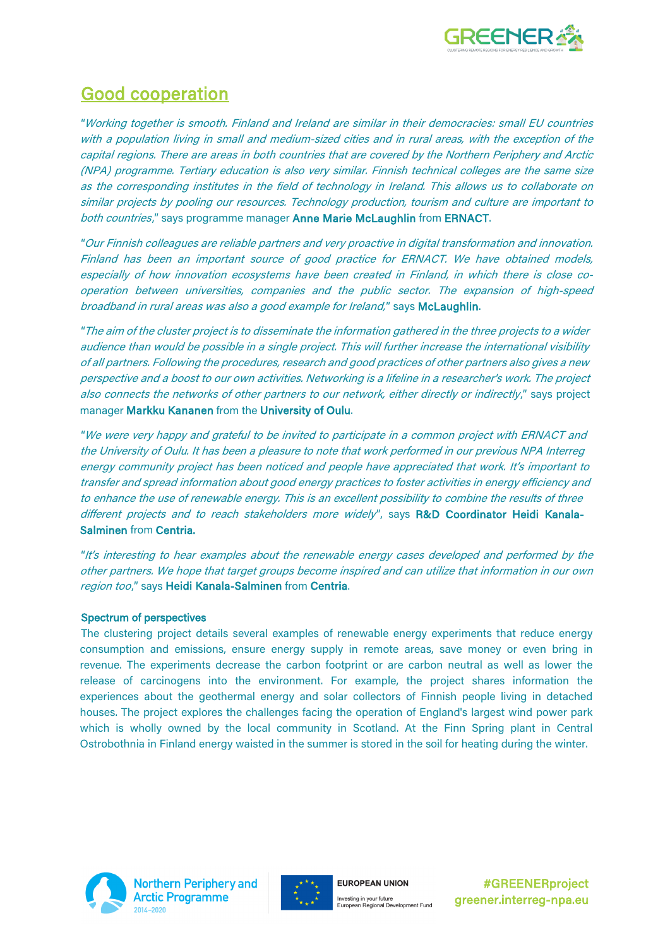

#### Good cooperation

"Working together is smooth. Finland and Ireland are similar in their democracies: small EU countries with a population living in small and medium-sized cities and in rural areas, with the exception of the capital regions. There are areas in both countries that are covered by the Northern Periphery and Arctic (NPA) programme. Tertiary education is also very similar. Finnish technical colleges are the same size as the corresponding institutes in the field of technology in Ireland. This allows us to collaborate on similar projects by pooling our resources. Technology production, tourism and culture are important to both countries," says programme manager Anne Marie McLaughlin from ERNACT.

"Our Finnish colleagues are reliable partners and very proactive in digital transformation and innovation. Finland has been an important source of good practice for ERNACT. We have obtained models, especially of how innovation ecosystems have been created in Finland, in which there is close cooperation between universities, companies and the public sector. The expansion of high-speed broadband in rural areas was also a good example for Ireland," says McLaughlin.

"The aim of the cluster project is to disseminate the information gathered in the three projects to a wider audience than would be possible in a single project. This will further increase the international visibility of all partners. Following the procedures, research and good practices of other partners also gives a new perspective and a boost to our own activities. Networking is a lifeline in a researcher's work. The project also connects the networks of other partners to our network, either directly or indirectly," says project manager Markku Kananen from the University of Oulu.

"We were very happy and grateful to be invited to participate in a common project with ERNACT and the University of Oulu. It has been a pleasure to note that work performed in our previous NPA Interreg energy community project has been noticed and people have appreciated that work. It's important to transfer and spread information about good energy practices to foster activities in energy efficiency and to enhance the use of renewable energy. This is an excellent possibility to combine the results of three different projects and to reach stakeholders more widely", says R&D Coordinator Heidi Kanala-Salminen from Centria.

"It's interesting to hear examples about the renewable energy cases developed and performed by the other partners. We hope that target groups become inspired and can utilize that information in our own region too," says Heidi Kanala-Salminen from Centria.

#### Spectrum of perspectives

The clustering project details several examples of renewable energy experiments that reduce energy consumption and emissions, ensure energy supply in remote areas, save money or even bring in revenue. The experiments decrease the carbon footprint or are carbon neutral as well as lower the release of carcinogens into the environment. For example, the project shares information the experiences about the geothermal energy and solar collectors of Finnish people living in detached houses. The project explores the challenges facing the operation of England's largest wind power park which is wholly owned by the local community in Scotland. At the Finn Spring plant in Central Ostrobothnia in Finland energy waisted in the summer is stored in the soil for heating during the winter.



**Northern Periphery and Arctic Programme** 



**EUROPEAN UNION** Investing in your future<br>European Regional Development Fund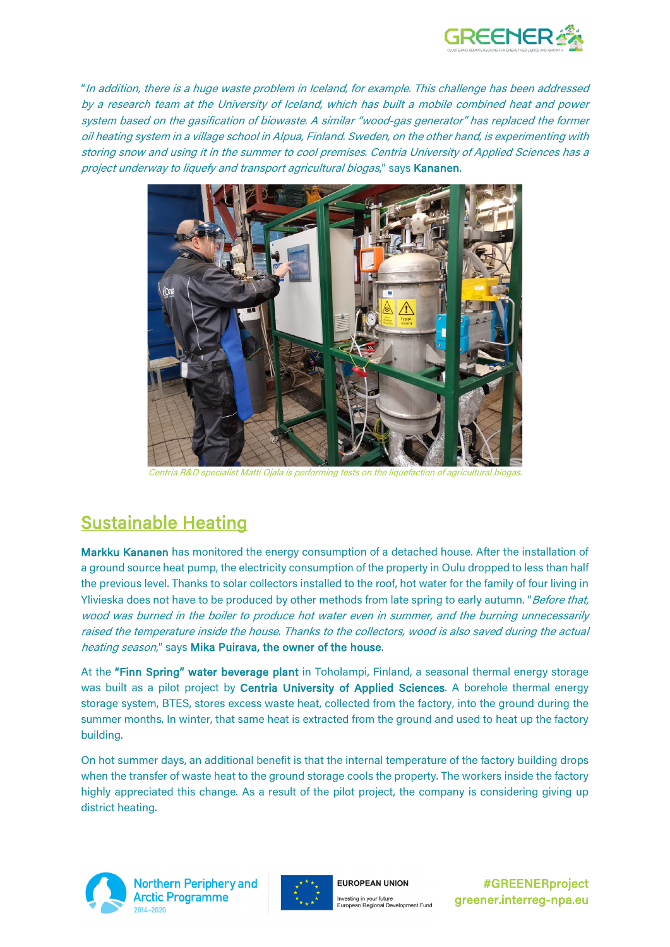

"In addition, there is a huge waste problem in Iceland, for example. This challenge has been addressed by a research team at the University of Iceland, which has built a mobile combined heat and power system based on the gasification of biowaste. A similar "wood-gas generator" has replaced the former oil heating system in a village school in Alpua, Finland. Sweden, on the other hand, is experimenting with storing snow and using it in the summer to cool premises. Centria University of Applied Sciences has a project underway to liquefy and transport agricultural biogas," says Kananen.



Centria R&D specialist Matti Ojala is performing tests on the liquefaction of agricultural biogas.

### Sustainable Heating

Markku Kananen has monitored the energy consumption of a detached house. After the installation of a ground source heat pump, the electricity consumption of the property in Oulu dropped to less than half the previous level. Thanks to solar collectors installed to the roof, hot water for the family of four living in Ylivieska does not have to be produced by other methods from late spring to early autumn. "Before that, wood was burned in the boiler to produce hot water even in summer, and the burning unnecessarily raised the temperature inside the house. Thanks to the collectors, wood is also saved during the actual heating season," says Mika Puirava, the owner of the house.

At the "Finn Spring" water beverage plant in Toholampi, Finland, a seasonal thermal energy storage was built as a pilot project by Centria University of Applied Sciences. A borehole thermal energy storage system, BTES, stores excess waste heat, collected from the factory, into the ground during the summer months. In winter, that same heat is extracted from the ground and used to heat up the factory building.

On hot summer days, an additional benefit is that the internal temperature of the factory building drops when the transfer of waste heat to the ground storage cools the property. The workers inside the factory highly appreciated this change. As a result of the pilot project, the company is considering giving up district heating.



**Northern Periphery and Arctic Programme** 



**EUROPEAN UNION** Investing in your future<br>European Regional Development Fund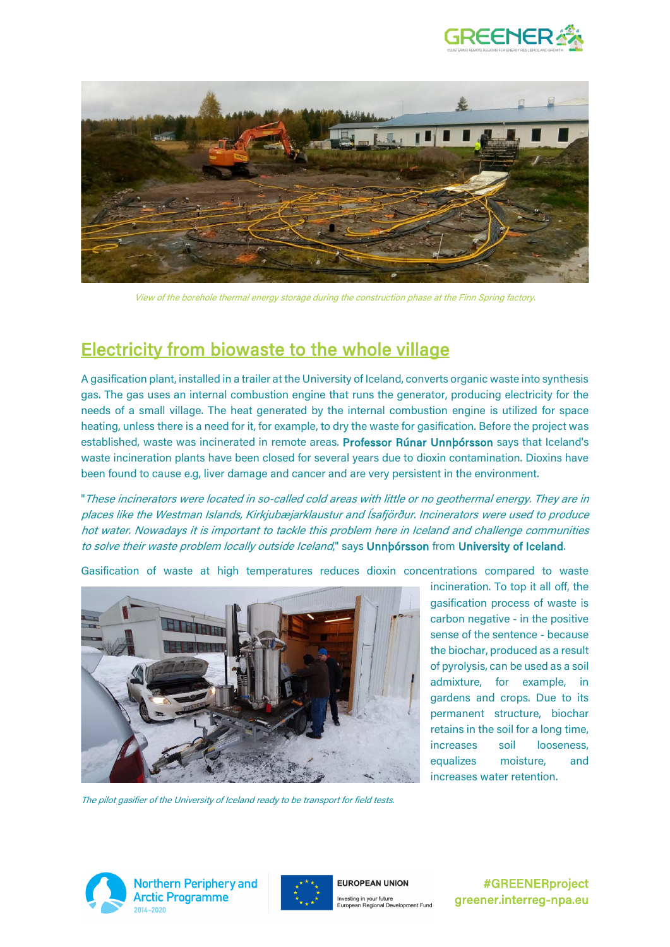



View of the borehole thermal energy storage during the construction phase at the Finn Spring factory.

#### Electricity from biowaste to the whole village

A gasification plant, installed in a trailer at the University of Iceland, converts organic waste into synthesis gas. The gas uses an internal combustion engine that runs the generator, producing electricity for the needs of a small village. The heat generated by the internal combustion engine is utilized for space heating, unless there is a need for it, for example, to dry the waste for gasification. Before the project was established, waste was incinerated in remote areas. Professor Rúnar Unnþórsson says that Iceland's waste incineration plants have been closed for several years due to dioxin contamination. Dioxins have been found to cause e.g, liver damage and cancer and are very persistent in the environment.

"These incinerators were located in so-called cold areas with little or no geothermal energy. They are in places like the Westman Islands, Kirkjubæjarklaustur and Ísafjörður. Incinerators were used to produce hot water. Nowadays it is important to tackle this problem here in Iceland and challenge communities to solve their waste problem locally outside Iceland," says **Unnbórsson** from University of Iceland.

Gasification of waste at high temperatures reduces dioxin concentrations compared to waste



incineration. To top it all off, the gasification process of waste is carbon negative - in the positive sense of the sentence - because the biochar, produced as a result of pyrolysis, can be used as a soil admixture, for example, in gardens and crops. Due to its permanent structure, biochar retains in the soil for a long time, increases soil looseness, equalizes moisture, and increases water retention.

The pilot gasifier of the University of Iceland ready to be transport for field tests.



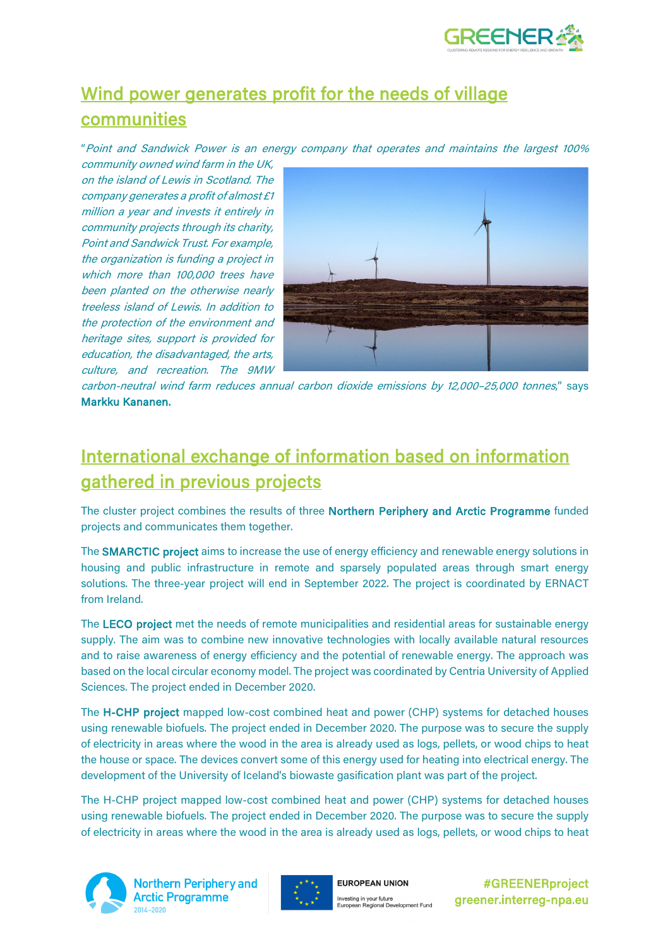

# Wind power generates profit for the needs of village communities

"Point and Sandwick Power is an energy company that operates and maintains the largest 100%

community owned wind farm in the UK, on the island of Lewis in Scotland. The company generates a profit of almost £1 million a year and invests it entirely in community projects through its charity, Point and Sandwick Trust. For example, the organization is funding a project in which more than 100,000 trees have been planted on the otherwise nearly treeless island of Lewis. In addition to the protection of the environment and heritage sites, support is provided for education, the disadvantaged, the arts, culture, and recreation. The 9MW



carbon-neutral wind farm reduces annual carbon dioxide emissions by 12,000–25,000 tonnes," says Markku Kananen.

## International exchange of information based on information gathered in previous projects

The cluster project combines the results of three Northern Periphery and Arctic Programme funded projects and communicates them together.

The **SMARCTIC project** aims to increase the use of energy efficiency and renewable energy solutions in housing and public infrastructure in remote and sparsely populated areas through smart energy solutions. The three-year project will end in September 2022. The project is coordinated by ERNACT from Ireland.

The LECO project met the needs of remote municipalities and residential areas for sustainable energy supply. The aim was to combine new innovative technologies with locally available natural resources and to raise awareness of energy efficiency and the potential of renewable energy. The approach was based on the local circular economy model. The project was coordinated by Centria University of Applied Sciences. The project ended in December 2020.

The H-CHP project mapped low-cost combined heat and power (CHP) systems for detached houses using renewable biofuels. The project ended in December 2020. The purpose was to secure the supply of electricity in areas where the wood in the area is already used as logs, pellets, or wood chips to heat the house or space. The devices convert some of this energy used for heating into electrical energy. The development of the University of Iceland's biowaste gasification plant was part of the project.

The H-CHP project mapped low-cost combined heat and power (CHP) systems for detached houses using renewable biofuels. The project ended in December 2020. The purpose was to secure the supply of electricity in areas where the wood in the area is already used as logs, pellets, or wood chips to heat



**Northern Periphery and Arctic Programme** 



**EUROPEAN UNION** Investing in your future<br>European Regional Development Fund